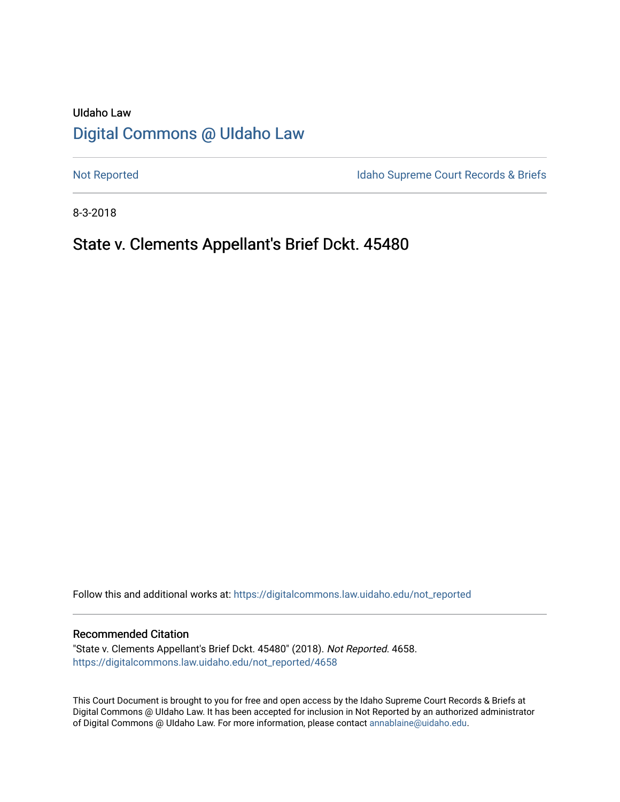# UIdaho Law [Digital Commons @ UIdaho Law](https://digitalcommons.law.uidaho.edu/)

[Not Reported](https://digitalcommons.law.uidaho.edu/not_reported) **Idaho Supreme Court Records & Briefs** 

8-3-2018

# State v. Clements Appellant's Brief Dckt. 45480

Follow this and additional works at: [https://digitalcommons.law.uidaho.edu/not\\_reported](https://digitalcommons.law.uidaho.edu/not_reported?utm_source=digitalcommons.law.uidaho.edu%2Fnot_reported%2F4658&utm_medium=PDF&utm_campaign=PDFCoverPages) 

#### Recommended Citation

"State v. Clements Appellant's Brief Dckt. 45480" (2018). Not Reported. 4658. [https://digitalcommons.law.uidaho.edu/not\\_reported/4658](https://digitalcommons.law.uidaho.edu/not_reported/4658?utm_source=digitalcommons.law.uidaho.edu%2Fnot_reported%2F4658&utm_medium=PDF&utm_campaign=PDFCoverPages)

This Court Document is brought to you for free and open access by the Idaho Supreme Court Records & Briefs at Digital Commons @ UIdaho Law. It has been accepted for inclusion in Not Reported by an authorized administrator of Digital Commons @ UIdaho Law. For more information, please contact [annablaine@uidaho.edu](mailto:annablaine@uidaho.edu).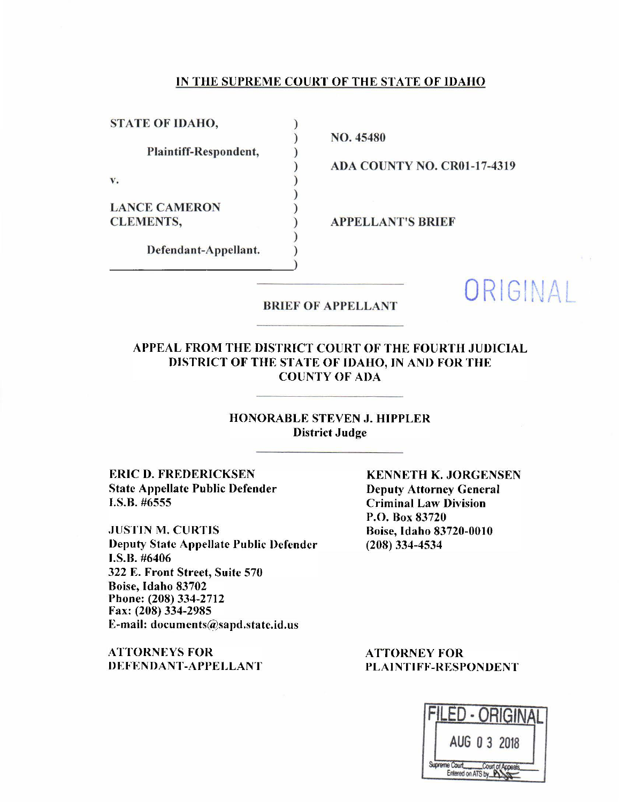#### IN THE SUPREME COURT OF THE STATE OF IDAHO

) ) ) ) ) ) ) ) ) )

STATE OF IDAHO,

Plain tiff-Respondent,

v.

LANCE CAMERON CLEMENTS,

Defendant-Appellant.

NO. 45480

ADA COUNTY NO. CROJ-17-4319

APPELLANT'S BRIEF

# BRIEF OF APPELLANT ORIGINAL

# APPEAL FROM THE DISTRICT COURT OF THE FOURTH JUDICIAL DISTRICT OF THE STATE OF IDAHO, IN AND FOR THE COUNTY OF ADA

## HONORABLE STEVEN J. HIPPLER District Judge

ERIC D. FREDERICKSEN State Appellate Public Defender r.s.B. #6555

.JUSTIN M. CURTIS Deputy State Appellate Public Defender J.S.B. #6406 322 E. Front Street, Suite 570 Boise, Idaho 83702 Phone: (208) 334-2712 Fax: (208)334-2985 E-mail: documents@sapd.statc.id. us

ATTORNEYS FOR DEFENDANT-APPELLANT

KENNETH K. JORGENSEN Deputy Attorney General Criminal Law Division P.O. Box 83720 Boise, Idaho 83720-0010 (208) 334-4534

ATTORNEY FOR PLAINTIFF-RESPONDENT

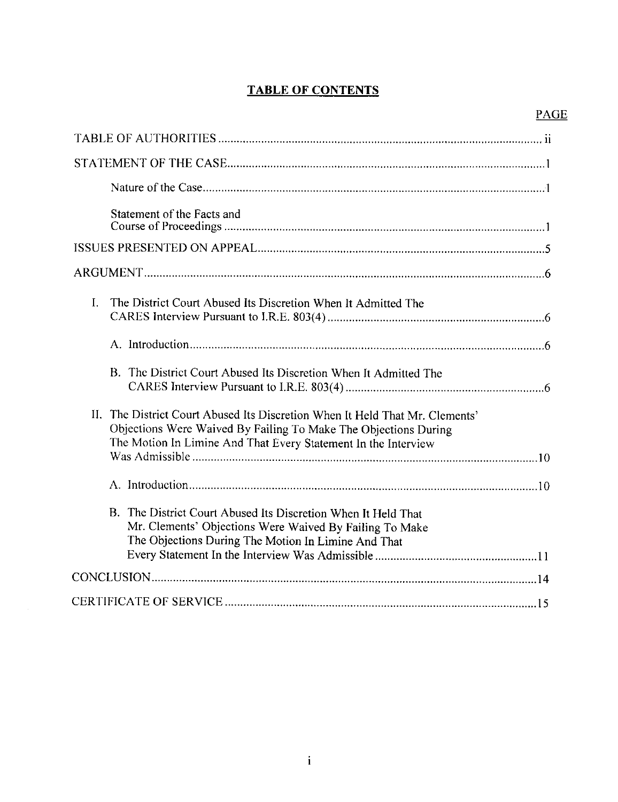# **TABLE OF CONTENTS**

| Statement of the Facts and                                                                                                                                                                                        |
|-------------------------------------------------------------------------------------------------------------------------------------------------------------------------------------------------------------------|
|                                                                                                                                                                                                                   |
|                                                                                                                                                                                                                   |
| $\mathbf{L}$<br>The District Court Abused Its Discretion When It Admitted The                                                                                                                                     |
|                                                                                                                                                                                                                   |
| B. The District Court Abused Its Discretion When It Admitted The                                                                                                                                                  |
| II. The District Court Abused Its Discretion When It Held That Mr. Clements'<br>Objections Were Waived By Failing To Make The Objections During<br>The Motion In Limine And That Every Statement In the Interview |
|                                                                                                                                                                                                                   |
| B. The District Court Abused Its Discretion When It Held That<br>Mr. Clements' Objections Were Waived By Failing To Make<br>The Objections During The Motion In Limine And That                                   |
|                                                                                                                                                                                                                   |
|                                                                                                                                                                                                                   |

 $\mathcal{A}^{\mathcal{A}}$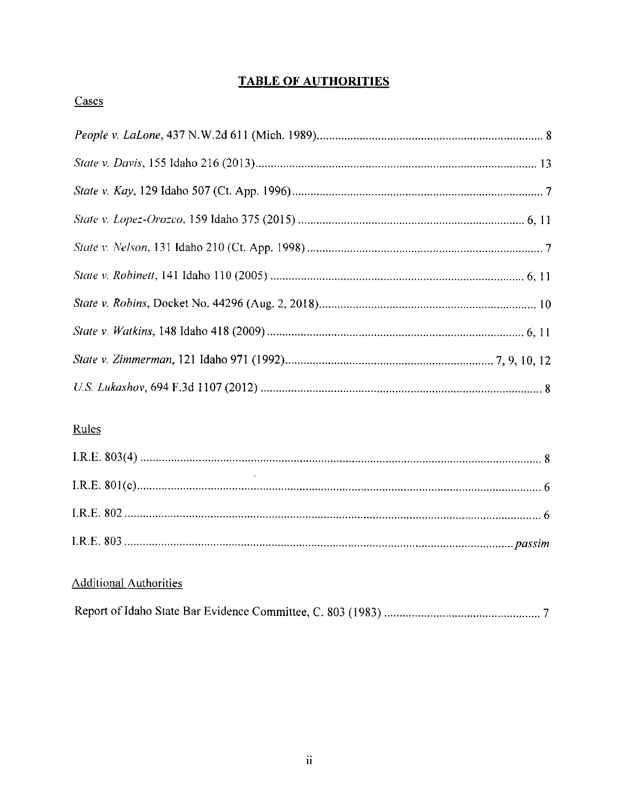# **TABLE OF AUTHORITIES**

# Cases

# Rules

# **Additional Authorities**

|--|--|--|

 $\mathcal{A}^{\text{out}}$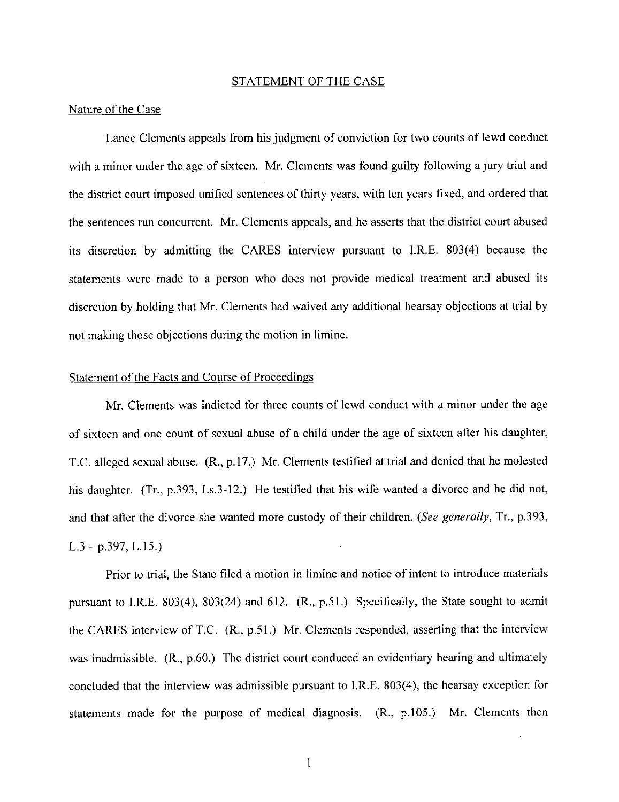#### STATEMENT OF THE CASE

## Nature of the Case

Lance Clements appeals from his judgment of conviction for two counts of lewd conduct with a minor under the age of sixteen. Mr. Clements was found guilty following a jury trial and the district court imposed unified sentences of thirty years, with ten years fixed, and ordered that the sentences run concurrent. Mr. Clements appeals, and he asserts that the district court abused its discretion by admitting the CARES interview pursuant to I.R.E. 803(4) because the statements were made to a person who does not provide medical treatment and abused its discretion by holding that Mr. Clements had waived any additional hearsay objections at trial by not making those objections during the motion in limine.

#### Statement of the Facts and Course of Proceedings

Mr. Clements was indicted for three counts of lewd conduct with a minor under the age of sixteen and one count of sexual abuse of a child under the age of sixteen after his daughter, T.C. alleged sexual abuse. (R., p.17.) Mr. Clements testified at trial and denied that he molested his daughter. (Tr., p.393, Ls.3-12.) He testified that his wife wanted a divorce and he did not, and that after the divorce she wanted more custody of their children. *(See generally,* Tr., p.393,  $L.3 - p.397, L.15.$ 

Prior to trial, the State filed a motion in limine and notice of intent to introduce materials pursuant to l.R.E. 803(4), 803(24) and 612. (R., p.51.) Specifically, the State sought to admit the CARES interview of T.C. (R., p.51.) Mr. Clements responded, asserting that the interview was inadmissible. (R., p.60.) The district court conduced an evidentiary hearing and ultimately concluded that the interview was admissible pursuant to I.R.E. 803(4), the hearsay exception for statements made for the purpose of medical diagnosis.  $(R, p.105)$  Mr. Clements then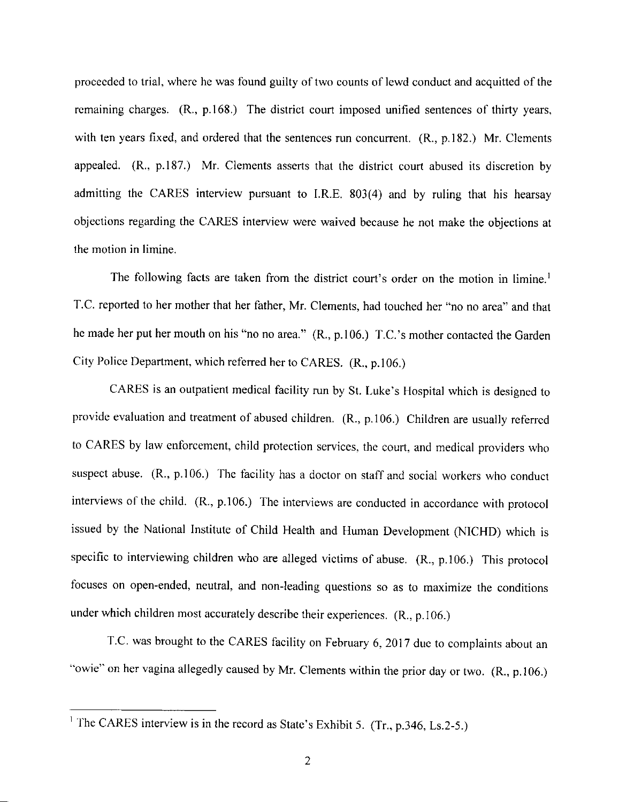proceeded to trial, where he was found guilty of two counts of lewd conduct and acquitted of the remaining charges. (R., p.168.) The district court imposed unified sentences of thirty years, with ten years fixed, and ordered that the sentences run concurrent. (R., p.182.) Mr. Clements appealed. (R., p.187.) Mr. Clements asserts that the district court abused its discretion by admitting the CARES interview pursuant to I.R.E.  $803(4)$  and by ruling that his hearsay objections regarding the CARES interview were waived because he not make the objections at the motion in limine.

The following facts are taken from the district court's order on the motion in limine.<sup>1</sup> T.C. reported to her mother that her father, Mr. Clements, had touched her "no no area" and that he made her put her mouth on his "no no area." (R., p.106.) T.C.'s mother contacted the Garden City Police Department, which referred her to CARES. (R., p.106.)

CARES is an outpatient medical facility run by St. Luke's Hospital which is designed to provide evaluation and treatment of abused children. (R., p.106.) Children are usually referred to CARES by law enforcement, child protection services, the court, and medical providers who suspect abuse. (R., p.106.) The facility has a doctor on staff and social workers who conduct interviews of the child. (R., p.106.) The interviews are conducted in accordance with protocol issued by the National Institute of Child Health and Human Development (NICHD) which is specific to interviewing children who are alleged victims of abuse. (R., p.106.) This protocol focuses on open-ended, neutral, and non-leading questions so as to maximize the conditions under which children most accurately describe their experiences.  $(R., p.106.)$ 

T.C. was brought to the CARES facility on February 6, 2017 due to complaints about an "owie" on her vagina allegedly caused by Mr. Clements within the prior day or two. (R., p.106.)

<sup>&</sup>lt;sup>1</sup> The CARES interview is in the record as State's Exhibit 5. (Tr., p.346, Ls.2-5.)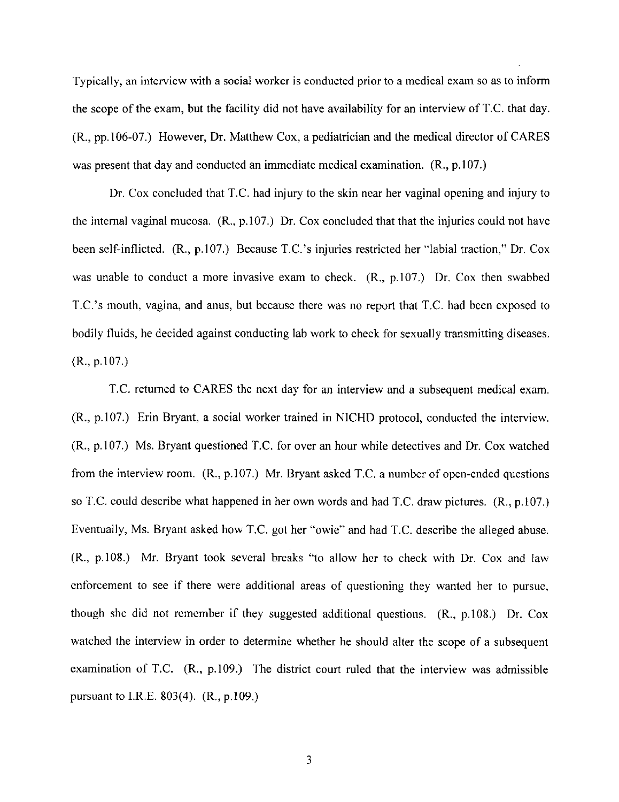Typically, an interview with a social worker is conducted prior to a medical exam so as to inform the scope of the exam, but the facility did not have availability for an interview of T.C. that day. (R., pp. I 06-07.) However, Dr. Matthew Cox, a pediatrician and the medical director of CARES was present that day and conducted an immediate medical examination.  $(R., p.107.)$ 

Dr. Cox concluded that T.C. had injury to the skin near her vaginal opening and injury to the internal vaginal mucosa.  $(R_n, p.107)$  Dr. Cox concluded that that the injuries could not have been self-inflicted. (R., p. 107.) Because T.C.'s injuries restricted her "labial traction," Dr. Cox was unable to conduct a more invasive exam to check.  $(R_{n}, p.107)$  Dr. Cox then swabbed T.C.'s mouth. vagina, and anus, but because there was no report that T.C. had been exposed to bodily fluids, he decided against conducting lab work to check for sexually transmitting diseases.  $(R., p.107.)$ 

T.C. returned to CARES the next day for an interview and a subsequent medical exam. (R., p.107.) Erin Bryant, a social worker trained in NICHD protocol, conducted the interview. (R., p.107.) Ms. Bryant questioned T.C. for over an hour while detectives and Dr. Cox watched from the interview room.  $(R., p.107.)$  Mr. Bryant asked T.C. a number of open-ended questions so T.C. could describe what happened in her own words and had T.C. draw pictures. (R., p.107.) Eventually, Ms. Bryant asked how T.C. got her "owie" and had T.C. describe the alleged abuse. (R., p.108.) Mr. Bryant took several breaks "to allow her to check with Dr. Cox and law enforcement to see if there were additional areas of questioning they wanted her to pursue, though she did not remember if they suggested additional questions.  $(R_n, p.108)$  Dr. Cox watched the interview in order to determine whether he should alter the scope of a subsequent examination of T.C.  $(R., p.109.)$  The district court ruled that the interview was admissible pursuant to l.R.E. 803(4). (R., p.109.)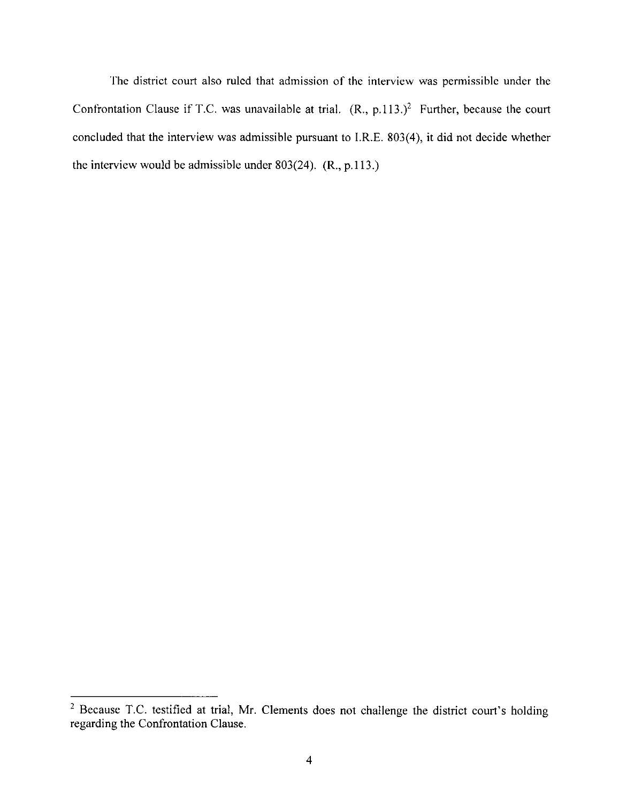The district court also ruled that admission of the interview was permissible under the Confrontation Clause if T.C. was unavailable at trial.  $(R., p.113.)^2$  Further, because the court concluded that the interview was admissible pursuant to I.R.E. 803(4), it did not decide whether the interview would be admissible under 803(24). (R., p.113.)

<sup>&</sup>lt;sup>2</sup> Because T.C. testified at trial, Mr. Clements does not challenge the district court's holding regarding the Confrontation Clause.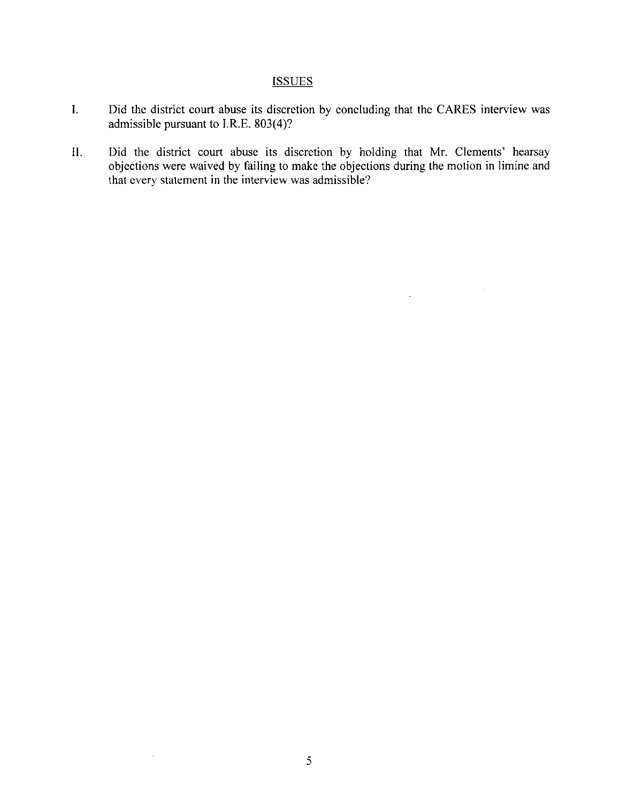# **ISSUES**

- I. Did the district court abuse its discretion by concluding that the CARES interview was admissible pursuant to I.R.E. 803(4)?
- II. Did the district court abuse its discretion by holding that Mr. Clements' hearsay objections were waived by failing to make the objections during the motion in limine and that every statement in the interview was admissible?

 $\bar{\psi}$ 

 $\Delta \sim 10^{11}$  m

 $\bar{\mathcal{A}}$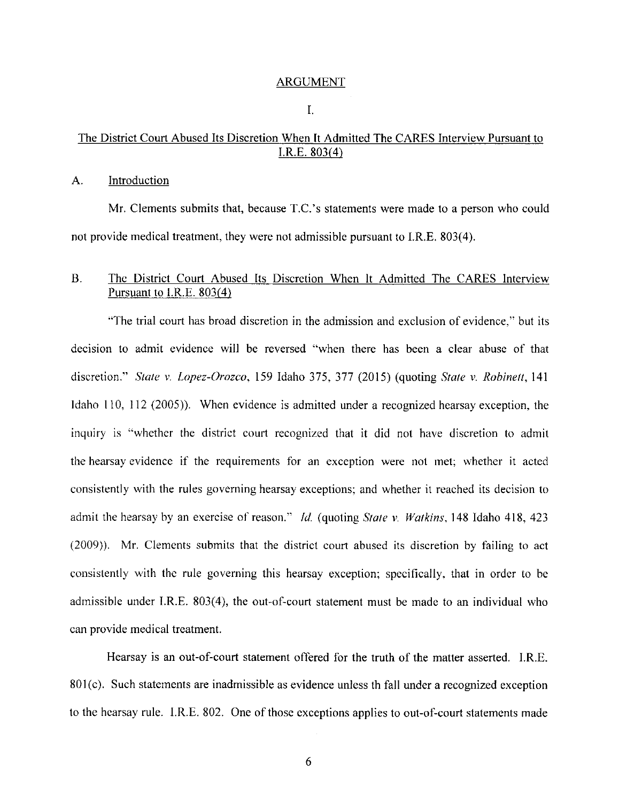#### ARGUMENT

I.

# The District Court Abused Its Discretion When It Admitted The CARES Interview Pursuant to I.R.E. 803{4)

#### A. Introduction

Mr. Clements submits that, because T.C.'s statements were made to a person who could not provide medical treatment, they were not admissible pursuant to I.R.E. 803(4).

# B. The District Court Abused Its Discretion When It Admitted The CARES Interview Pursuant to l.R.E. 803(4)

"The trial court has broad discretion in the admission and exclusion of evidence," but its decision to admit evidence will be reversed "when there has been a clear abuse of that discretion." *State v. Lopez-Orozco*, 159 Idaho 375, 377 (2015) (quoting *State v. Robinett*, 141 Idaho 110, 112 (2005)). When evidence is admitted under a recognized hearsay exception, the inquiry is "whether the district court recognized that it did not have discretion to admit the hearsay evidence if the requirements for an exception were not met; whether it acted consistently with the rules governing hearsay exceptions; and whether it reached its decision to admit the hearsay by an exercise of reason.'' *Id.* (quoting *State v. Watkins.* 148 ldaho 418,423 (2009)). Mr. Clements submits that the district court abused its discretion by failing to act consistently with the rule governing this hearsay exception; specifically. that in order to be admissible under 1.R.E. 803(4), the out-of-court statement must be made to an individual who can provide medical treatment.

Hearsay is an out-of-court statement offered for the truth of the matter asserted. I.R.E. 801(c). Such statements are inadmissible as evidence unless the fall under a recognized exception to the hearsay rule. I.R.E. 802. One of those exceptions applies to out-of~court statements made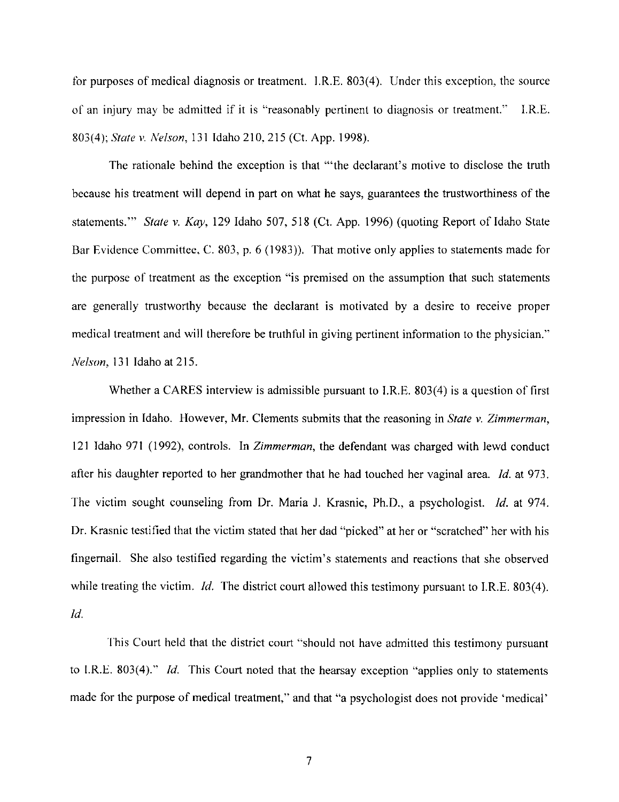for purposes of medical diagnosis or treatment. l.R.E. 803(4). Under this exception, the source of an injury may be admitted if it is "reasonably pertinent to diagnosis or treatment." I.R.E. 803( 4 ); *State v. Nelson,* 131 Idaho 210, 215 (Ct. App. 1998 ).

The rationale behind the exception is that "'the declarant's motive to disclose the truth because his treatment will depend in part on what he says, guarantees the trustworthiness of the statements."' *State* v. *Kay,* 129 Idaho 507,518 (Ct. App. 1996) (quoting Report of Idaho State Bar Evidence Committee, C. 803, p. 6 (1983)). That motive only applies to statements made for the purpose of treatment as the exception "is premised on the assumption that such statements are generally trustworthy because the declarant is motivated by a desire to receive proper medical treatment and will therefore be truthful in giving pertinent information to the physician." *Nelson,* 131 Idaho at 215.

Whether a CARES interview is admissible pursuant to J.R.E. 803(4) is a question of first impression in Idaho. However, Mr. Clements submits that the reasoning in *State* v. *Zimmerman,*  121 Idaho 971 (1992), controls. In *Zimmerman,* the defendant was charged with lewd conduct after his daughter reported to her grandmother that he had touched her vaginal area. *Id.* at 973. The victim sought counseling from Dr. Maria J. Krasnic, Ph.D., a psychologist. *Id.* at 974. Dr. Krasnic testified that the victim stated that her dad "picked" at her or "scratched" her with his fingernail. She also testified regarding the victim's statements and reactions that she observed while treating the victim. *Id.* The district court allowed this testimony pursuant to I.R.E. 803(4). *Id.* 

This Court held that the district court "should not have admitted this testimony pursuant to I.R.E. 803(4)." *Id.* This Court noted that the hearsay exception "applies only to statements made for the purpose of medical treatment," and that "a psychologist does not provide 'medical'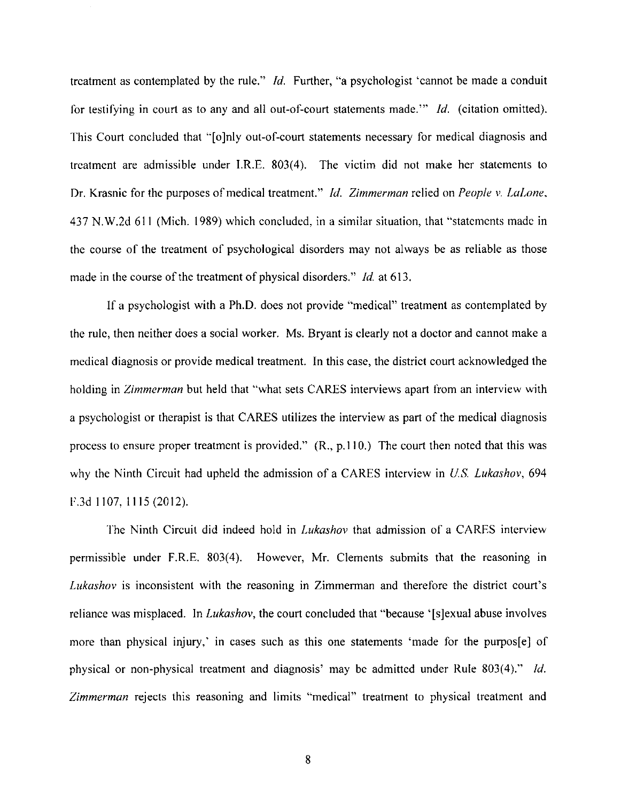treatment as contemplated by the rule." *Id.* Further, "a psychologist 'cannot be made a conduit for testifying in court as to any and all out-of-court statements made."' *Id.* ( citation omitted). This Court concluded that "[o]nly out-of-court statements necessary for medical diagnosis and treatment are admissible under I.R.E. 803(4). The victim did not make her statements to Dr. Krasnic for the purposes of medical treatment." *Id. Zimmerman* relied on *People v. LaLone,*  437 N.W.2d 611 (Mich. 1989) which concluded, in a similar situation, that "statements made in the course of the treatment of psychological disorders may not always be as reliable as those made in the course of the treatment of physical disorders." *Id* at 613.

If a psychologist with a Ph.D. does not provide "medical" treatment as contemplated by the rule, then neither does a social worker. Ms. Bryant is clearly not a doctor and cannot make a medical diagnosis or provide medical treatment. In this case, the district court acknowledged the holding in *Zimmerman* but held that "what sets CARES interviews apart from an interview with a psychologist or therapist is that CARES utilizes the interview as part of the medical diagnosis process to ensure proper treatment is provided." (R., p.110.) The court then noted that this was why the Ninth Circuit had upheld the admission of a CARES interview in *U.S. Lukashov,* 694 F.3d 1107, 1115(2012).

The Ninth Circuit did indeed hold in *Lukashov* that admission of a CARES interview permissible under F.R.E. 803(4). However, Mr. Clements submits that the reasoning in *Lukashov* is inconsistent with the reasoning in Zimmerman and therefore the district court's reliance was misplaced. In *Lukashov*, the court concluded that "because '[s]exual abuse involves more than physical injury,' in cases such as this one statements 'made for the purpos[e] of physical or non-physical treatment and diagnosis' may be admitted under Rule 803(4)." *Id. Zimmerman* rejects this reasoning and limits "medical" treatment to physical treatment and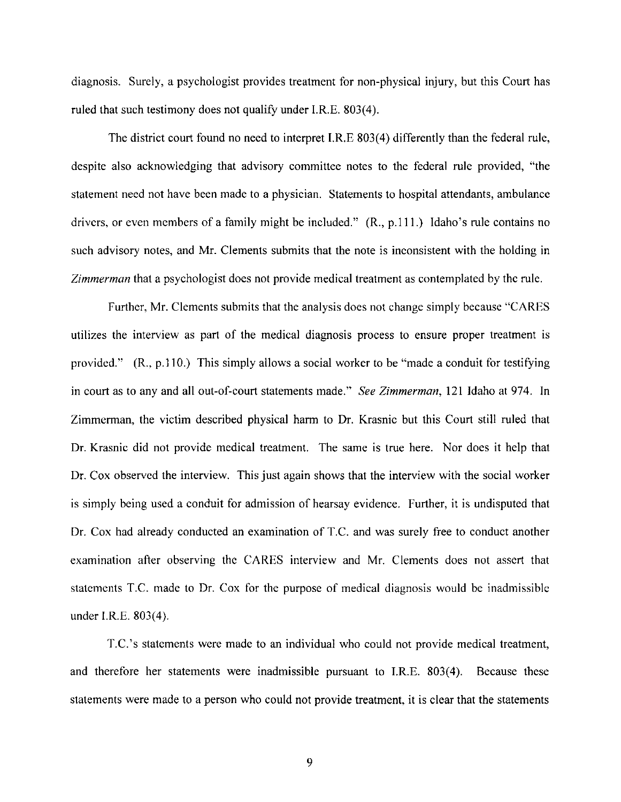diagnosis. Surely, a psychologist provides treatment for non-physical injury, but this Court has ruled that such testimony does not qualify under I.R.E. 803(4).

The district court found no need to interpret I.R.E 803(4) differently than the federal rule, despite also acknowledging that advisory committee notes to the federal rule provided, "the statement need not have been made to a physician. Statements to hospital attendants, ambulance drivers, or even members of a family might be included." (R., p.111.) Idaho's rule contains no such advisory notes, and Mr. Clements submits that the note is inconsistent with the holding in *Zimmerman* that a psychologist does not provide medical treatment as contemplated by the rule.

Further, Mr. Clements submits that the analysis does not change simply because "CARES utilizes the interview as part of the medical diagnosis process to ensure proper treatment is provided." (R., p.110.) This simply allows a social worker to be "made a conduit for testifying in court as to any and all out-of-court statements made." *See Zimmerman,* 121 Idaho at 974. In Zimmerman, the victim described physical harm to Dr. Krasnic but this Court still ruled that Dr. Krasnic did not provide medical treatment. The same is true here. Nor does it help that Dr. Cox observed the interview. This just again shows that the interview with the social worker is simply being used a conduit for admission of hearsay evidence. Further, it is undisputed that Dr. Cox had already conducted an examination of T.C. and was surely free to conduct another examination after observing the CARES interview and Mr. Clements does not assert that statements T.C. made to Dr. Cox for the purpose of medical diagnosis would be inadmissible under I.R.E. 803(4).

T.C.'s statements were made to an individual who could not provide medical treatment, and therefore her statements were inadmissible pursuant to I.R.E. 803(4). Because these statements were made to a person who could not provide treatment, it is clear that the statements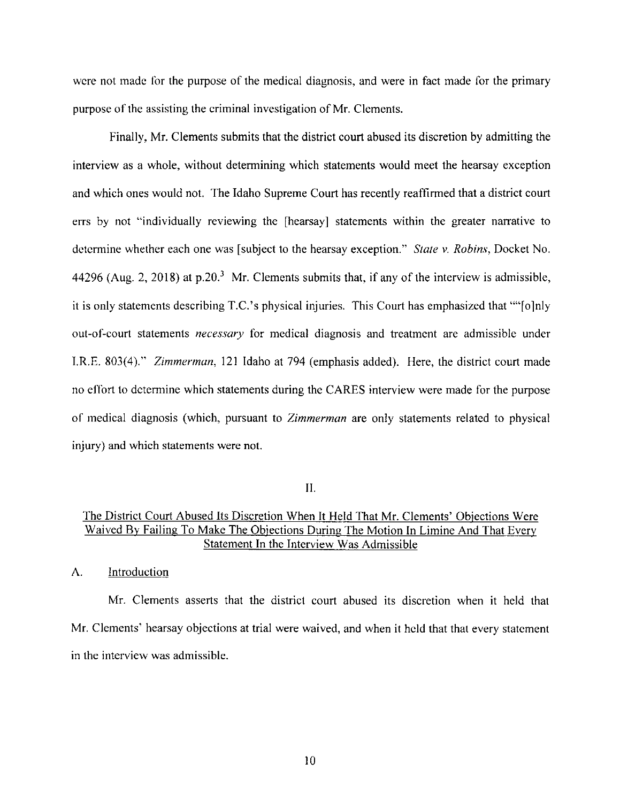were not made for the purpose of the medical diagnosis, and were in fact made for the primary purpose of the assisting the criminal investigation of Mr. Clements.

Finally, Mr. Clements submits that the district court abused its discretion by admitting the interview as a whole, without determining which statements would meet the hearsay exception and which ones would not. The Idaho Supreme Court has recently reaffirmed that a district court errs by not "individually reviewing the [hearsay] statements within the greater narrative to determine whether each one was [subject to the hearsay exception." *State v. Robins,* Docket No. 44296 (Aug. 2, 2018) at  $p.20<sup>3</sup>$  Mr. Clements submits that, if any of the interview is admissible, it is only statements describing T.C.'s physical injuries. This Court has emphasized that ""[o]nly out-of-court statements *necessary* for medical diagnosis and treatment are admissible under I.R.E. 803(4)." *Zimmerman,* 121 Idaho at 794 (emphasis added). Here, the district court made no effort to determine which statements during the CARES interview were made for the purpose of medical diagnosis (which, pursuant to *Zimmerman* are only statements related to physical injury) and which statements were not.

II.

## The District Court Abused Its Discretion When It Held That Mr. Clements' Objections Were Waived By Failing To Make The Objections During The Motion In Limine And That Every Statement In the Interview Was Admissible

A. Introduction

Mr. Clements asserts that the district court abused its discretion when it held that Mr. Clements' hearsay objections at trial were waived, and when it held that that every statement in the interview was admissible.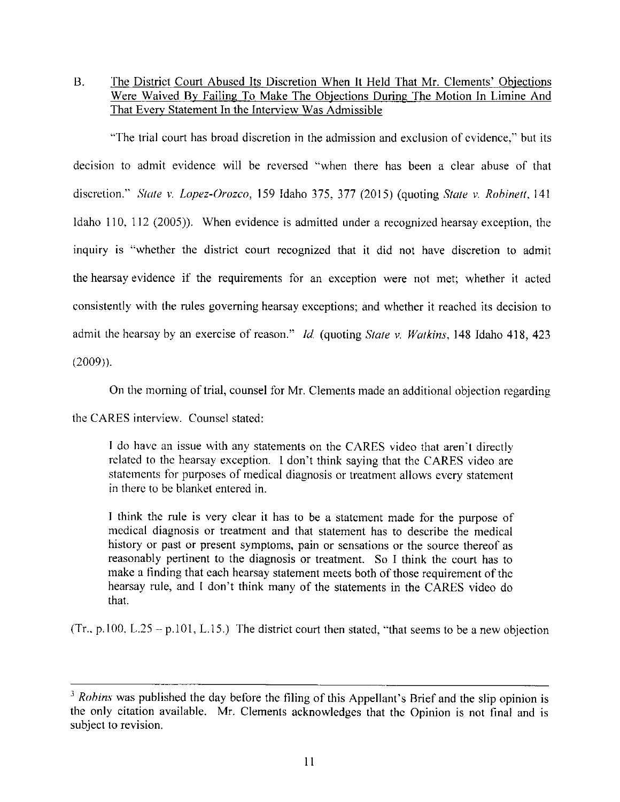B. The District Court Abused Its Discretion When It Held That Mr. Clements' Objections Were Waived By Failing To Make The Objections During The Motion In Limine And That Every Statement In the Interview Was Admissible

''The trial court has broad discretion in the admission and exclusion of evidence," but its decision to admit evidence will be reversed "when there has been a clear abuse of that discretion." *State v. Lopez-Orozco*, 159 Idaho 375, 377 (2015) (quoting *State v. Robinett*, 141 Idaho 110, 112 (2005)). When evidence is admitted under a recognized hearsay exception, the inquiry is "whether the district court recognized that it did not have discretion to admit the hearsay evidence if the requirements for an exception were not met; whether it acted consistently with the rules governing hearsay exceptions; and whether it reached its decision to admit the hearsay by an exercise of reason." *Id.* (quoting *State v. Watkins,* 148 Idaho 418, 423 (2009)).

On the morning of trial, counsel for Mr. Clements made an additional objection regarding

the CARES interview. Counsel stated:

I do have an issue with any statements on the CARES video that aren't directly related to the hearsay exception. I don't think saying that the CARES video are statements for purposes of medical diagnosis or treatment allows every statement in there to be blanket entered in.

I think the rule is very clear it has to be a statement made for the purpose of medical diagnosis or treatment and that statement has to describe the medical history or past or present symptoms, pain or sensations or the source thereof as reasonably pertinent to the diagnosis or treatment. So I think the court has to make a finding that each hearsay statement meets both of those requirement of the hearsay rule, and I don't think many of the statements in the CARES video do that.

(Tr., p.100, L.25 - p.101, L.15.) The district court then stated, "that seems to be a new objection

<sup>&</sup>lt;sup>3</sup> Rohins was published the day before the filing of this Appellant's Brief and the slip opinion is the only citation available. Mr. Clements acknowledges that the Opinion is not final and is subject to revision.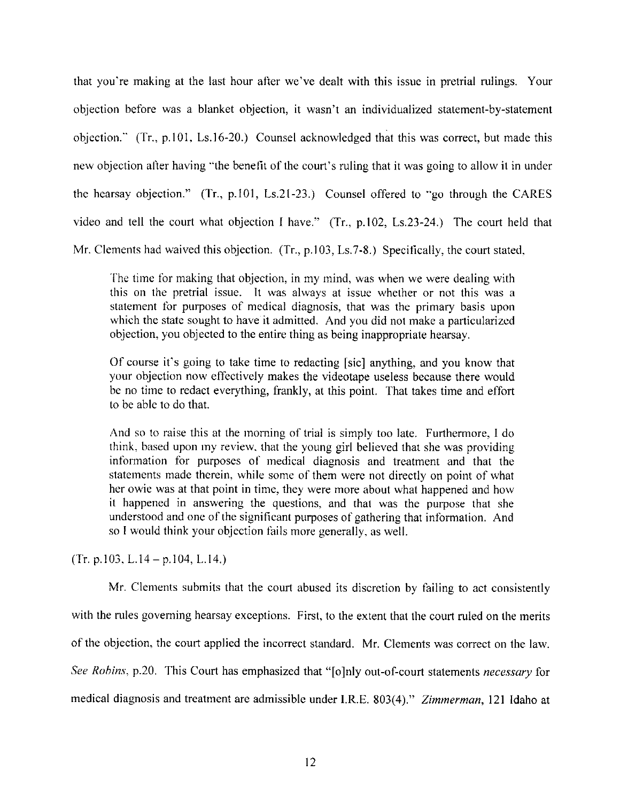that you're making at the last hour after we've dealt with this issue in pretrial rulings. Your objection before was a blanket objection, it wasn't an individualized statement-by-statement objection." (Tr., p.101. Ls.16-20.) Counsel acknowledged that this was correct, but made this new objection after having "the benefit of the court's ruling that it was going to allow it in under the hearsay objection." (Tr., p.101, Ls.21-23.) Counsel offered to "go through the CARES video and tell the court what objection I have." (Tr., p.102, Ls.23-24.) The court held that Mr. Clements had waived this objection. (Tr., p.103, Ls.7-8.) Specifically, the court stated,

The time for making that objection, in my mind. was when we were dealing with this on the pretrial issue. It was always at issue whether or not this was a statement for purposes of medical diagnosis, that was the primary basis upon which the state sought to have it admitted. And you did not make a particularized objection, you objected to the entire thing as being inappropriate hearsay.

Of course it's going to take time to redacting  $[sic]$  anything, and you know that your objection now effectively makes the videotape useless because there would be no time to redact everything, frankly, at this point. That takes time and effort to be able to do that.

And so to raise this at the morning of trial is simply too late. Furthermore, I do think, based upon my review. that the young girl believed that she was providing infonnation for purposes of medical diagnosis and treatment and that the statements made therein, while some of them were not directly on point of what her owie was at that point in time, they were more about what happened and how it happened in answering the questions, and that was the purpose that she understood and one of the significant purposes of gathering that information. And so I would think your objection fails more generally. as well.

 $(Tr. p.103, L.14-p.104, L.14.)$ 

Mr. Clements submits that the court abused its discretion by failing to act consistently with the rules governing hearsay exceptions. First, to the extent that the court ruled on the merits of the objection, the court applied the incorrect standard. Mr. Clements was correct on the law. *See Robins.* p.20. This Court has emphasized that "[o]nly out-of-court statements *necessary* for medical diagnosis and treatment are admissible under I.R.E. 803(4)." *Zimmerman*, 121 Idaho at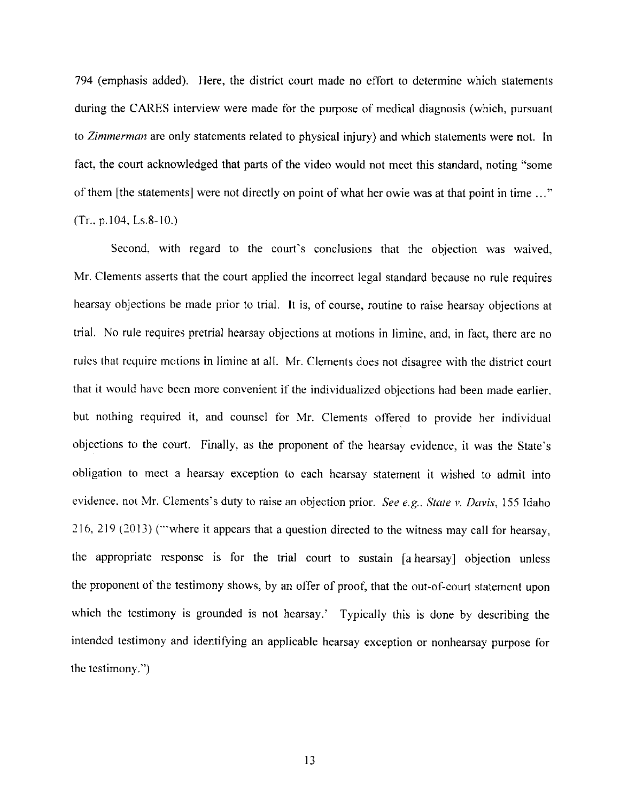794 (emphasis added). Here, the district court made no effort to determine which statements during the CARES interview were made for the purpose of medical diagnosis (which, pursuant to *Zimmerman* are only statements related to physical injury) and which statements were not. In fact, the court acknowledged that parts of the video would not meet this standard, noting "some of them [the statements] were not directly on point of what her owie was at that point in time ... "  $(Tr., p.104, Ls.8-10.)$ 

Second, with regard to the court's conclusions that the objection was waived, Mr. Clements asserts that the court applied the incorrect legal standard because no rule requires hearsay objections be made prior to trial. It is, of course, routine to raise hearsay objections at trial. No rule requires pretrial hearsay objections at motions in limine, and, in fact, there are no rules that require motions in liminc at all. Mr. Clements does not disagree with the district court that it would have been more convenient if the individualized objections had been made earlier. but nothing required it, and counsel for Mr. Clements offered to provide her individual objections to the court. Finally, as the proponent of the hearsay evidence, it was the State's obligation to meet a hearsay exception to each hearsay statement it wished to admit into evidence. not Mr. Clements's duty to raise an objection prior. *See e.g.. State v. Davis,* 155 Idaho 216, 219 (2013) ("'where it appears that a question directed to the witness may call for hearsay, the appropriate response is for the trial court to sustain [a hearsay] objection unless the proponent of the testimony shows, by an offer of proof, that the out-of~court statement upon which the testimony is grounded is not hearsay.' Typically this is done by describing the intended testimony and identifying an applicable hearsay exception or nonhearsay purpose for the testimony.'')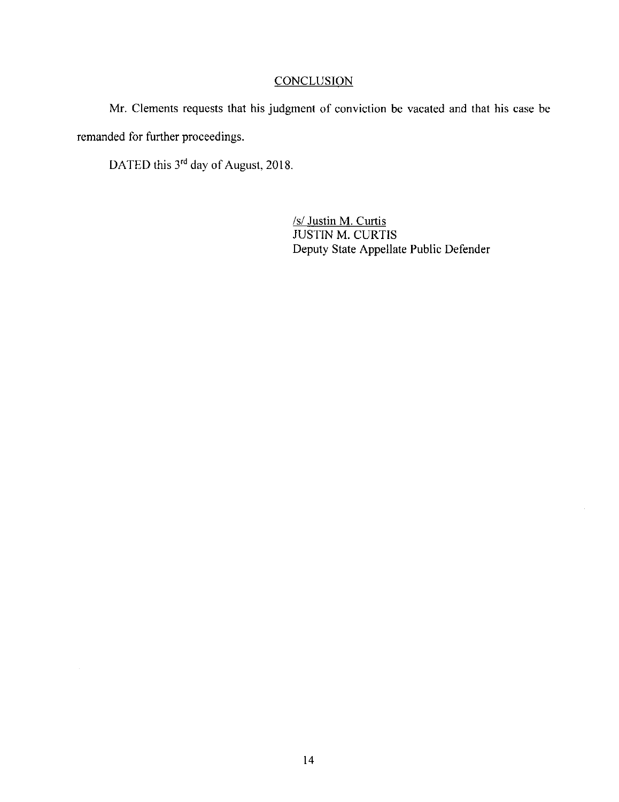# **CONCLUSION**

Mr. Clements requests that his judgment of conviction be vacated and that his case be remanded for further proceedings.

DATED this 3<sup>rd</sup> day of August, 2018.

/s/ Justin M. Curtis JUSTIN M. CURTIS Deputy State Appellate Public Defender